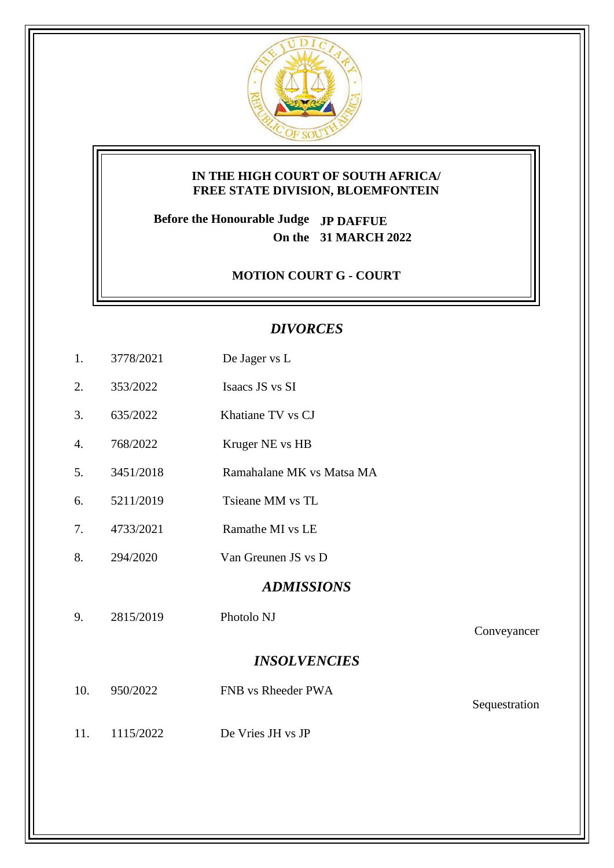

### **IN THE HIGH COURT OF SOUTH AFRICA/ FREE STATE DIVISION, BLOEMFONTEIN**

**Before the Honourable Judge JP DAFFUE On the 31 MARCH 2022**

## **MOTION COURT G - COURT**

# *DIVORCES*

- 1. 3778/2021 De Jager vs L
- 2. 353/2022 Isaacs JS vs SI
- 3. 635/2022 Khatiane TV vs CJ
- 4. 768/2022 Kruger NE vs HB
- 5. 3451/2018 Ramahalane MK vs Matsa MA
- 6. 5211/2019 Tsieane MM vs TL
- 7. 4733/2021 Ramathe MI vs LE
- 8. 294/2020 Van Greunen JS vs D

#### *ADMISSIONS*

9. 2815/2019 Photolo NJ

#### Conveyancer

## *INSOLVENCIES*

| 10. | 950/2022  | FNB vs Rheeder PWA |               |
|-----|-----------|--------------------|---------------|
|     |           |                    | Sequestration |
| 11. | 1115/2022 | De Vries JH vs JP  |               |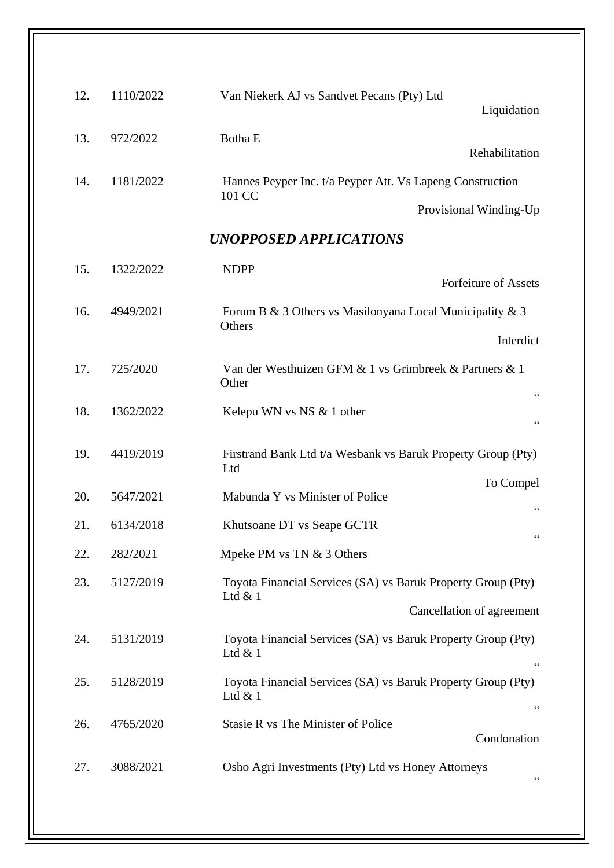| Van Niekerk AJ vs Sandvet Pecans (Pty) Ltd<br>Liquidation                                        | 1110/2022 | 12. |
|--------------------------------------------------------------------------------------------------|-----------|-----|
| Botha E<br>Rehabilitation                                                                        | 972/2022  | 13. |
| Hannes Peyper Inc. t/a Peyper Att. Vs Lapeng Construction                                        | 1181/2022 | 14. |
| 101 CC<br>Provisional Winding-Up                                                                 |           |     |
| UNOPPOSED APPLICATIONS                                                                           |           |     |
| <b>NDPP</b>                                                                                      | 1322/2022 | 15. |
| <b>Forfeiture of Assets</b>                                                                      |           |     |
| Forum B & 3 Others vs Masilonyana Local Municipality & 3<br>Others                               | 4949/2021 | 16. |
| Interdict                                                                                        |           |     |
| Van der Westhuizen GFM & 1 vs Grimbreek & Partners & 1<br>Other<br>$\textsf{G}\,\textsf{G}$      | 725/2020  | 17. |
| Kelepu WN vs NS & 1 other<br>$\zeta\,\zeta$                                                      | 1362/2022 | 18. |
| Firstrand Bank Ltd t/a Wesbank vs Baruk Property Group (Pty)<br>Ltd                              | 4419/2019 | 19. |
| To Compel                                                                                        |           |     |
| Mabunda Y vs Minister of Police<br>$\textsf{G}\,\textsf{G}$                                      | 5647/2021 | 20. |
| Khutsoane DT vs Seape GCTR<br>$\textsf{G}\,\textsf{G}$                                           | 6134/2018 | 21. |
| Mpeke PM vs TN & 3 Others                                                                        | 282/2021  | 22. |
| Toyota Financial Services (SA) vs Baruk Property Group (Pty)<br>Ltd $& 1$                        | 5127/2019 | 23. |
| Cancellation of agreement                                                                        |           |     |
| Toyota Financial Services (SA) vs Baruk Property Group (Pty)<br>Ltd $& 1$<br>$\zeta\,\zeta$      | 5131/2019 | 24. |
| Toyota Financial Services (SA) vs Baruk Property Group (Pty)<br>Ltd $& 1$                        | 5128/2019 | 25. |
| $\textsf{G}\,\textsf{G}$<br>Stasie R vs The Minister of Police<br>Condonation                    | 4765/2020 | 26. |
| Osho Agri Investments (Pty) Ltd vs Honey Attorneys<br>$\!\!\!\zeta\,\zeta\!\!\!\zeta\!\!\!\zeta$ | 3088/2021 | 27. |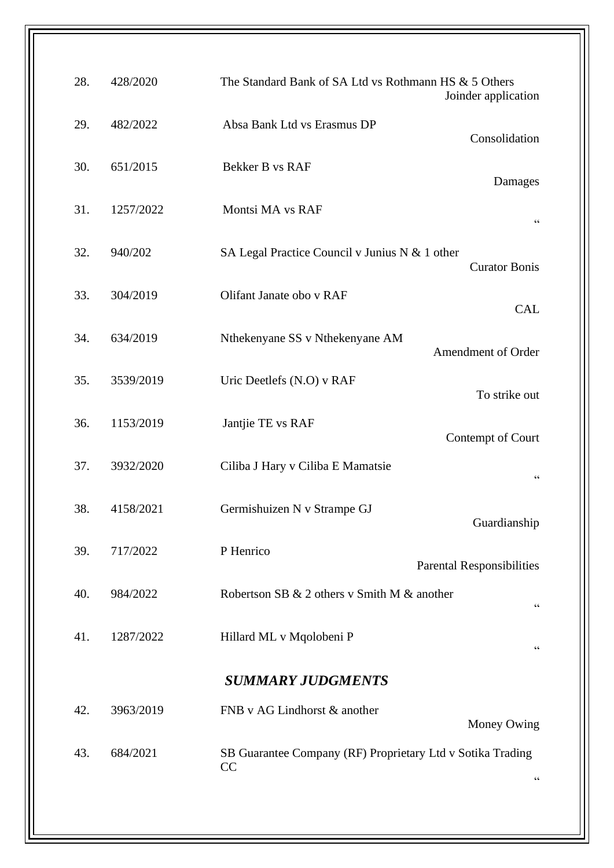| Joinder application                        | The Standard Bank of SA Ltd vs Rothmann HS & 5 Others            | 428/2020  | 28. |
|--------------------------------------------|------------------------------------------------------------------|-----------|-----|
| Consolidation                              | Absa Bank Ltd vs Erasmus DP                                      | 482/2022  | 29. |
| Damages                                    | Bekker B vs RAF                                                  | 651/2015  | 30. |
| $\!\!\!\zeta\,\zeta\!\!\!\zeta\!\!\!\zeta$ | Montsi MA vs RAF                                                 | 1257/2022 | 31. |
| <b>Curator Bonis</b>                       | SA Legal Practice Council v Junius N & 1 other                   | 940/202   | 32. |
| <b>CAL</b>                                 | Olifant Janate obo v RAF                                         | 304/2019  | 33. |
| Amendment of Order                         | Nthekenyane SS v Nthekenyane AM                                  | 634/2019  | 34. |
| To strike out                              | Uric Deetlefs (N.O) v RAF                                        | 3539/2019 | 35. |
| Contempt of Court                          | Jantjie TE vs RAF                                                | 1153/2019 | 36. |
| $\mbox{\bf G}$                             | Ciliba J Hary v Ciliba E Mamatsie                                | 3932/2020 | 37. |
| Guardianship                               | Germishuizen N v Strampe GJ                                      | 4158/2021 | 38. |
| <b>Parental Responsibilities</b>           | P Henrico                                                        | 717/2022  | 39. |
| $\mbox{\bf G}$                             | Robertson SB & 2 others v Smith M & another                      | 984/2022  | 40. |
| $\mbox{\bf G}$                             | Hillard ML v Mqolobeni P                                         | 1287/2022 | 41. |
|                                            | <b>SUMMARY JUDGMENTS</b>                                         |           |     |
| Money Owing                                | FNB v AG Lindhorst & another                                     | 3963/2019 | 42. |
| $\mbox{\bf G}$                             | SB Guarantee Company (RF) Proprietary Ltd v Sotika Trading<br>CC | 684/2021  | 43. |
|                                            |                                                                  |           |     |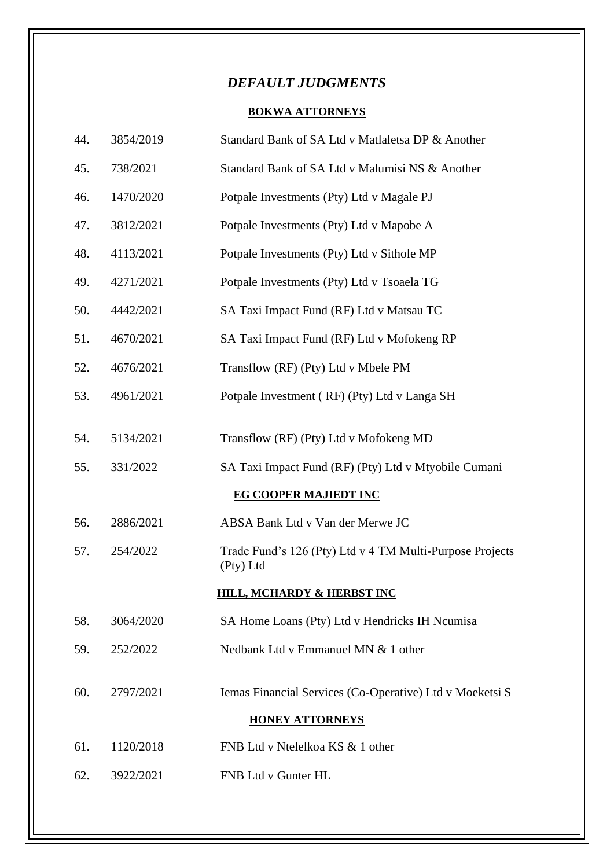# *DEFAULT JUDGMENTS*

## **BOKWA ATTORNEYS**

| 44. | 3854/2019 | Standard Bank of SA Ltd v Matlaletsa DP & Another                     |
|-----|-----------|-----------------------------------------------------------------------|
| 45. | 738/2021  | Standard Bank of SA Ltd v Malumisi NS & Another                       |
| 46. | 1470/2020 | Potpale Investments (Pty) Ltd v Magale PJ                             |
| 47. | 3812/2021 | Potpale Investments (Pty) Ltd v Mapobe A                              |
| 48. | 4113/2021 | Potpale Investments (Pty) Ltd v Sithole MP                            |
| 49. | 4271/2021 | Potpale Investments (Pty) Ltd v Tsoaela TG                            |
| 50. | 4442/2021 | SA Taxi Impact Fund (RF) Ltd v Matsau TC                              |
| 51. | 4670/2021 | SA Taxi Impact Fund (RF) Ltd v Mofokeng RP                            |
| 52. | 4676/2021 | Transflow (RF) (Pty) Ltd v Mbele PM                                   |
| 53. | 4961/2021 | Potpale Investment (RF) (Pty) Ltd v Langa SH                          |
| 54. | 5134/2021 | Transflow (RF) (Pty) Ltd v Mofokeng MD                                |
|     |           |                                                                       |
| 55. | 331/2022  | SA Taxi Impact Fund (RF) (Pty) Ltd v Mtyobile Cumani                  |
|     |           | <b>EG COOPER MAJIEDT INC</b>                                          |
| 56. | 2886/2021 | ABSA Bank Ltd v Van der Merwe JC                                      |
| 57. | 254/2022  | Trade Fund's 126 (Pty) Ltd v 4 TM Multi-Purpose Projects<br>(Pty) Ltd |
|     |           | <u>HILL, MCHARDY &amp; HERBST INC</u>                                 |
| 58. | 3064/2020 | SA Home Loans (Pty) Ltd v Hendricks IH Ncumisa                        |
| 59. | 252/2022  | Nedbank Ltd v Emmanuel MN & 1 other                                   |
| 60. | 2797/2021 | Iemas Financial Services (Co-Operative) Ltd v Moeketsi S              |
|     |           | <b>HONEY ATTORNEYS</b>                                                |
| 61. | 1120/2018 | FNB Ltd v Ntelelkoa KS & 1 other                                      |
|     |           |                                                                       |
| 62. | 3922/2021 | FNB Ltd v Gunter HL                                                   |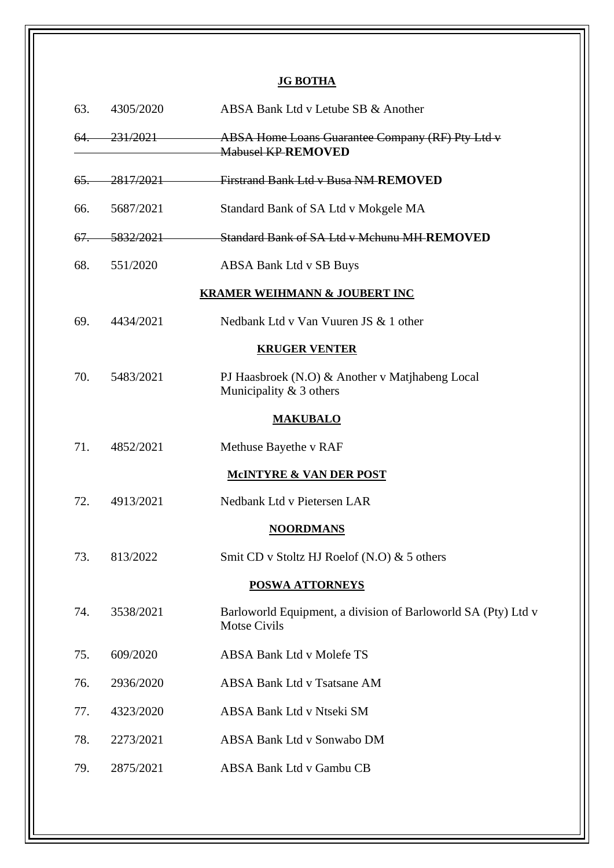## **JG BOTHA**

| 63.            | 4305/2020 | ABSA Bank Ltd v Letube SB & Another                                                  |
|----------------|-----------|--------------------------------------------------------------------------------------|
| 64.            | 231/2021  | ABSA Home Loans Guarantee Company (RF) Pty Ltd v<br><b>Mabusel KP REMOVED</b>        |
| $65-$          | 2817/2021 | <b>Firstrand Bank Ltd v Busa NM-REMOVED</b>                                          |
| 66.            | 5687/2021 | Standard Bank of SA Ltd v Mokgele MA                                                 |
| <del>67.</del> | 5832/2021 | Standard Bank of SA Ltd v Mchunu MH-REMOVED                                          |
| 68.            | 551/2020  | ABSA Bank Ltd v SB Buys                                                              |
|                |           | <b>KRAMER WEIHMANN &amp; JOUBERT INC</b>                                             |
| 69.            | 4434/2021 | Nedbank Ltd v Van Vuuren JS & 1 other                                                |
|                |           | <b>KRUGER VENTER</b>                                                                 |
| 70.            | 5483/2021 | PJ Haasbroek (N.O) & Another v Matjhabeng Local<br>Municipality $& 3$ others         |
|                |           | <b>MAKUBALO</b>                                                                      |
| 71.            | 4852/2021 | Methuse Bayethe v RAF                                                                |
|                |           | <b>MCINTYRE &amp; VAN DER POST</b>                                                   |
| 72.            | 4913/2021 | Nedbank Ltd v Pietersen LAR                                                          |
|                |           | <b>NOORDMANS</b>                                                                     |
| 73.            | 813/2022  | Smit CD v Stoltz HJ Roelof (N.O) & 5 others                                          |
|                |           | <b>POSWA ATTORNEYS</b>                                                               |
| 74.            | 3538/2021 | Barloworld Equipment, a division of Barloworld SA (Pty) Ltd v<br><b>Motse Civils</b> |
| 75.            | 609/2020  | ABSA Bank Ltd v Molefe TS                                                            |
| 76.            | 2936/2020 | <b>ABSA Bank Ltd v Tsatsane AM</b>                                                   |
| 77.            | 4323/2020 | ABSA Bank Ltd v Ntseki SM                                                            |
| 78.            | 2273/2021 | ABSA Bank Ltd v Sonwabo DM                                                           |
| 79.            | 2875/2021 | ABSA Bank Ltd v Gambu CB                                                             |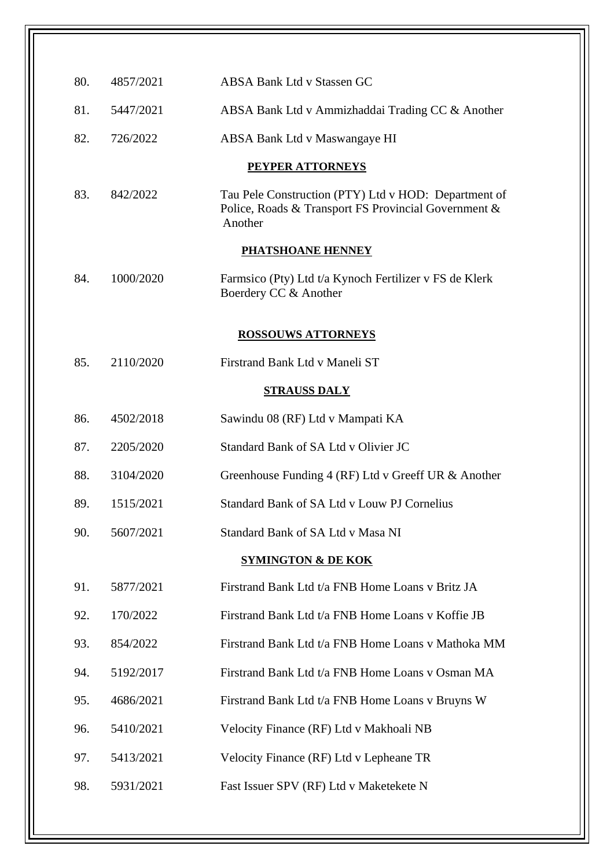| 80. | 4857/2021 | <b>ABSA Bank Ltd v Stassen GC</b>                                                                                       |
|-----|-----------|-------------------------------------------------------------------------------------------------------------------------|
| 81. | 5447/2021 | ABSA Bank Ltd v Ammizhaddai Trading CC & Another                                                                        |
| 82. | 726/2022  | ABSA Bank Ltd v Maswangaye HI                                                                                           |
|     |           | <b>PEYPER ATTORNEYS</b>                                                                                                 |
| 83. | 842/2022  | Tau Pele Construction (PTY) Ltd v HOD: Department of<br>Police, Roads & Transport FS Provincial Government &<br>Another |
|     |           | <b>PHATSHOANE HENNEY</b>                                                                                                |
| 84. | 1000/2020 | Farmsico (Pty) Ltd t/a Kynoch Fertilizer v FS de Klerk<br>Boerdery CC & Another                                         |
|     |           | <b>ROSSOUWS ATTORNEYS</b>                                                                                               |
| 85. | 2110/2020 | Firstrand Bank Ltd v Maneli ST                                                                                          |
|     |           | <b>STRAUSS DALY</b>                                                                                                     |
| 86. | 4502/2018 | Sawindu 08 (RF) Ltd v Mampati KA                                                                                        |
| 87. | 2205/2020 | Standard Bank of SA Ltd v Olivier JC                                                                                    |
| 88. | 3104/2020 | Greenhouse Funding 4 (RF) Ltd v Greeff UR & Another                                                                     |
| 89. | 1515/2021 | Standard Bank of SA Ltd v Louw PJ Cornelius                                                                             |
| 90. | 5607/2021 | Standard Bank of SA Ltd v Masa NI                                                                                       |
|     |           | <b>SYMINGTON &amp; DE KOK</b>                                                                                           |
| 91. | 5877/2021 | Firstrand Bank Ltd t/a FNB Home Loans v Britz JA                                                                        |
| 92. | 170/2022  | Firstrand Bank Ltd t/a FNB Home Loans v Koffie JB                                                                       |
| 93. | 854/2022  | Firstrand Bank Ltd t/a FNB Home Loans v Mathoka MM                                                                      |
| 94. | 5192/2017 | Firstrand Bank Ltd t/a FNB Home Loans v Osman MA                                                                        |
| 95. | 4686/2021 | Firstrand Bank Ltd t/a FNB Home Loans v Bruyns W                                                                        |
| 96. | 5410/2021 | Velocity Finance (RF) Ltd v Makhoali NB                                                                                 |
| 97. | 5413/2021 | Velocity Finance (RF) Ltd v Lepheane TR                                                                                 |
| 98. | 5931/2021 | Fast Issuer SPV (RF) Ltd v Maketekete N                                                                                 |
|     |           |                                                                                                                         |